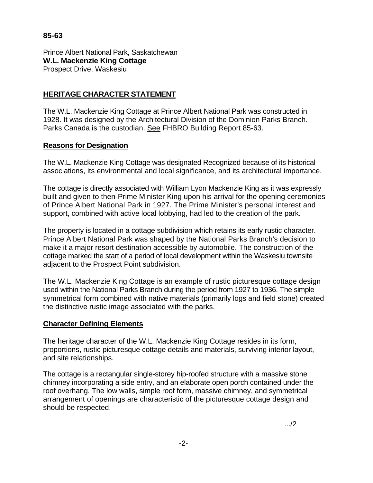# **85-63**

Prince Albert National Park, Saskatchewan **W.L. Mackenzie King Cottage**  Prospect Drive, Waskesiu

# **HERITAGE CHARACTER STATEMENT**

The W.L. Mackenzie King Cottage at Prince Albert National Park was constructed in 1928. It was designed by the Architectural Division of the Dominion Parks Branch. Parks Canada is the custodian. See FHBRO Building Report 85-63.

## **Reasons for Designation**

The W.L. Mackenzie King Cottage was designated Recognized because of its historical associations, its environmental and local significance, and its architectural importance.

The cottage is directly associated with William Lyon Mackenzie King as it was expressly built and given to then-Prime Minister King upon his arrival for the opening ceremonies of Prince Albert National Park in 1927. The Prime Minister's personal interest and support, combined with active local lobbying, had led to the creation of the park.

The property is located in a cottage subdivision which retains its early rustic character. Prince Albert National Park was shaped by the National Parks Branch's decision to make it a major resort destination accessible by automobile. The construction of the cottage marked the start of a period of local development within the Waskesiu townsite adjacent to the Prospect Point subdivision.

The W.L. Mackenzie King Cottage is an example of rustic picturesque cottage design used within the National Parks Branch during the period from 1927 to 1936. The simple symmetrical form combined with native materials (primarily logs and field stone) created the distinctive rustic image associated with the parks.

### **Character Defining Elements**

The heritage character of the W.L. Mackenzie King Cottage resides in its form, proportions, rustic picturesque cottage details and materials, surviving interior layout, and site relationships.

The cottage is a rectangular single-storey hip-roofed structure with a massive stone chimney incorporating a side entry, and an elaborate open porch contained under the roof overhang. The low walls, simple roof form, massive chimney, and symmetrical arrangement of openings are characteristic of the picturesque cottage design and should be respected.

.../2